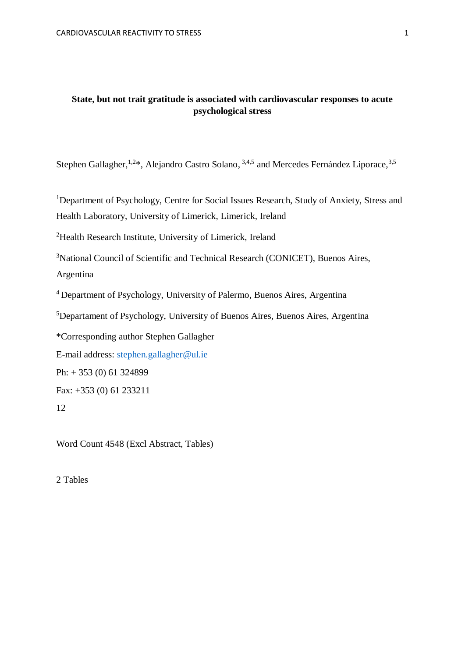# **State, but not trait gratitude is associated with cardiovascular responses to acute psychological stress**

Stephen Gallagher, <sup>1,2\*</sup>, Alejandro Castro Solano, <sup>3,4,5</sup> and Mercedes Fernández Liporace, <sup>3,5</sup>

<sup>1</sup>Department of Psychology, Centre for Social Issues Research, Study of Anxiety, Stress and Health Laboratory, University of Limerick, Limerick, Ireland

<sup>2</sup>Health Research Institute, University of Limerick, Ireland

<sup>3</sup>National Council of Scientific and Technical Research (CONICET), Buenos Aires, Argentina

<sup>4</sup>Department of Psychology, University of Palermo, Buenos Aires, Argentina

<sup>5</sup>Departament of Psychology, University of Buenos Aires, Buenos Aires, Argentina

\*Corresponding author Stephen Gallagher

E-mail address: [stephen.gallagher@ul.ie](mailto:stephen.gallagher@ul.ie)

Ph: + 353 (0) 61 324899

Fax: +353 (0) 61 233211

12

Word Count 4548 (Excl Abstract, Tables)

2 Tables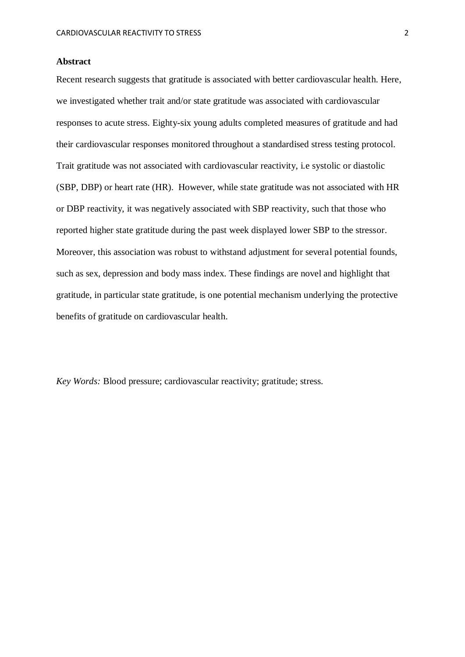### **Abstract**

Recent research suggests that gratitude is associated with better cardiovascular health. Here, we investigated whether trait and/or state gratitude was associated with cardiovascular responses to acute stress. Eighty-six young adults completed measures of gratitude and had their cardiovascular responses monitored throughout a standardised stress testing protocol. Trait gratitude was not associated with cardiovascular reactivity, i.e systolic or diastolic (SBP, DBP) or heart rate (HR). However, while state gratitude was not associated with HR or DBP reactivity, it was negatively associated with SBP reactivity, such that those who reported higher state gratitude during the past week displayed lower SBP to the stressor. Moreover, this association was robust to withstand adjustment for several potential founds, such as sex, depression and body mass index. These findings are novel and highlight that gratitude, in particular state gratitude, is one potential mechanism underlying the protective benefits of gratitude on cardiovascular health.

*Key Words:* Blood pressure; cardiovascular reactivity; gratitude; stress.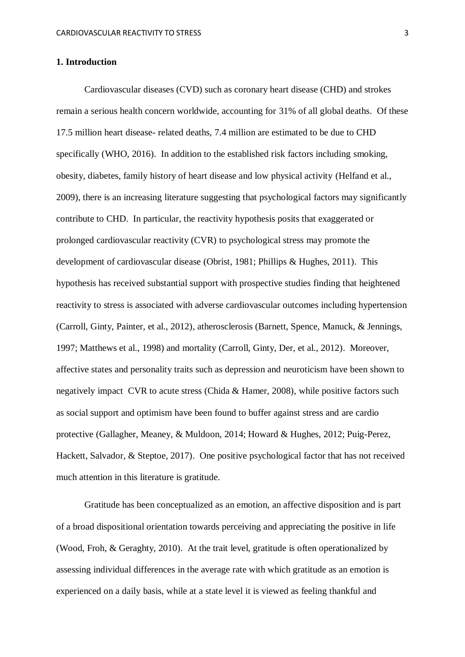# **1. Introduction**

Cardiovascular diseases (CVD) such as coronary heart disease (CHD) and strokes remain a serious health concern worldwide, accounting for 31% of all global deaths. Of these 17.5 million heart disease- related deaths, 7.4 million are estimated to be due to CHD specifically (WHO, 2016). In addition to the established risk factors including smoking, obesity, diabetes, family history of heart disease and low physical activity (Helfand et al., 2009), there is an increasing literature suggesting that psychological factors may significantly contribute to CHD. In particular, the reactivity hypothesis posits that exaggerated or prolonged cardiovascular reactivity (CVR) to psychological stress may promote the development of cardiovascular disease (Obrist, 1981; Phillips & Hughes, 2011). This hypothesis has received substantial support with prospective studies finding that heightened reactivity to stress is associated with adverse cardiovascular outcomes including hypertension (Carroll, Ginty, Painter, et al., 2012), atherosclerosis (Barnett, Spence, Manuck, & Jennings, 1997; Matthews et al., 1998) and mortality (Carroll, Ginty, Der, et al., 2012). Moreover, affective states and personality traits such as depression and neuroticism have been shown to negatively impact CVR to acute stress (Chida & Hamer, 2008), while positive factors such as social support and optimism have been found to buffer against stress and are cardio protective (Gallagher, Meaney, & Muldoon, 2014; Howard & Hughes, 2012; Puig-Perez, Hackett, Salvador, & Steptoe, 2017). One positive psychological factor that has not received much attention in this literature is gratitude.

Gratitude has been conceptualized as an emotion, an affective disposition and is part of a broad dispositional orientation towards perceiving and appreciating the positive in life (Wood, Froh, & Geraghty, 2010). At the trait level, gratitude is often operationalized by assessing individual differences in the average rate with which gratitude as an emotion is experienced on a daily basis, while at a state level it is viewed as feeling thankful and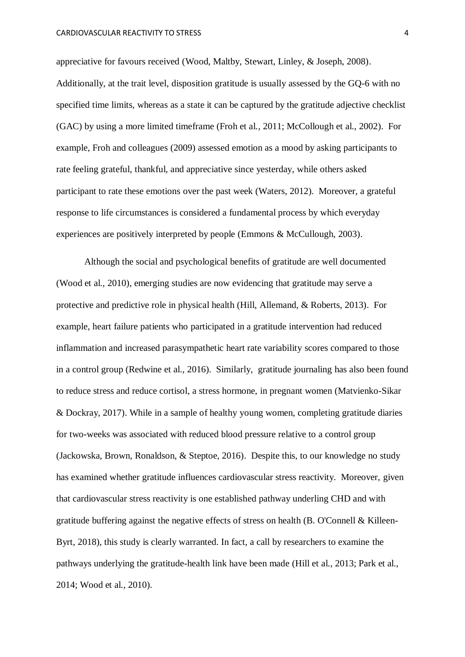appreciative for favours received (Wood, Maltby, Stewart, Linley, & Joseph, 2008). Additionally, at the trait level, disposition gratitude is usually assessed by the GQ-6 with no specified time limits, whereas as a state it can be captured by the gratitude adjective checklist (GAC) by using a more limited timeframe (Froh et al., 2011; McCollough et al., 2002). For example, Froh and colleagues (2009) assessed emotion as a mood by asking participants to rate feeling grateful, thankful, and appreciative since yesterday, while others asked participant to rate these emotions over the past week (Waters, 2012). Moreover, a grateful response to life circumstances is considered a fundamental process by which everyday experiences are positively interpreted by people (Emmons & McCullough, 2003).

Although the social and psychological benefits of gratitude are well documented (Wood et al., 2010), emerging studies are now evidencing that gratitude may serve a protective and predictive role in physical health (Hill, Allemand, & Roberts, 2013). For example, heart failure patients who participated in a gratitude intervention had reduced inflammation and increased parasympathetic heart rate variability scores compared to those in a control group (Redwine et al., 2016). Similarly, gratitude journaling has also been found to reduce stress and reduce cortisol, a stress hormone, in pregnant women (Matvienko-Sikar & Dockray, 2017). While in a sample of healthy young women, completing gratitude diaries for two-weeks was associated with reduced blood pressure relative to a control group (Jackowska, Brown, Ronaldson, & Steptoe, 2016). Despite this, to our knowledge no study has examined whether gratitude influences cardiovascular stress reactivity. Moreover, given that cardiovascular stress reactivity is one established pathway underling CHD and with gratitude buffering against the negative effects of stress on health (B. O'Connell & Killeen-Byrt, 2018), this study is clearly warranted. In fact, a call by researchers to examine the pathways underlying the gratitude-health link have been made (Hill et al., 2013; Park et al., 2014; Wood et al., 2010).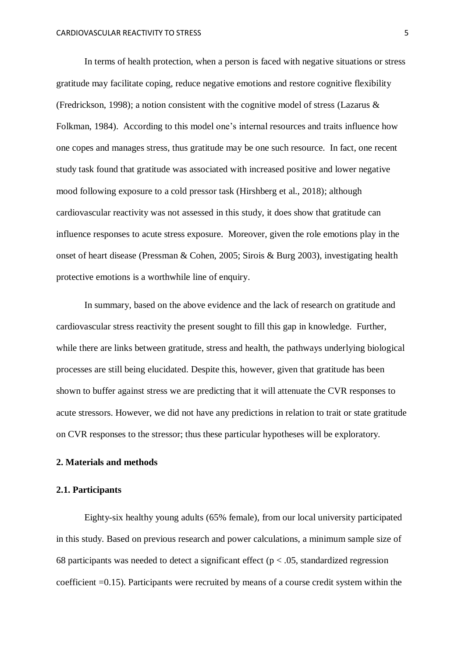In terms of health protection, when a person is faced with negative situations or stress gratitude may facilitate coping, reduce negative emotions and restore cognitive flexibility (Fredrickson, 1998); a notion consistent with the cognitive model of stress (Lazarus & Folkman, 1984). According to this model one's internal resources and traits influence how one copes and manages stress, thus gratitude may be one such resource. In fact, one recent study task found that gratitude was associated with increased positive and lower negative mood following exposure to a cold pressor task (Hirshberg et al., 2018); although cardiovascular reactivity was not assessed in this study, it does show that gratitude can influence responses to acute stress exposure. Moreover, given the role emotions play in the onset of heart disease (Pressman & Cohen, 2005; Sirois & Burg 2003), investigating health protective emotions is a worthwhile line of enquiry.

In summary, based on the above evidence and the lack of research on gratitude and cardiovascular stress reactivity the present sought to fill this gap in knowledge. Further, while there are links between gratitude, stress and health, the pathways underlying biological processes are still being elucidated. Despite this, however, given that gratitude has been shown to buffer against stress we are predicting that it will attenuate the CVR responses to acute stressors. However, we did not have any predictions in relation to trait or state gratitude on CVR responses to the stressor; thus these particular hypotheses will be exploratory.

### **2. Materials and methods**

### **2.1. Participants**

Eighty-six healthy young adults (65% female), from our local university participated in this study. Based on previous research and power calculations, a minimum sample size of 68 participants was needed to detect a significant effect ( $p < .05$ , standardized regression coefficient =0.15). Participants were recruited by means of a course credit system within the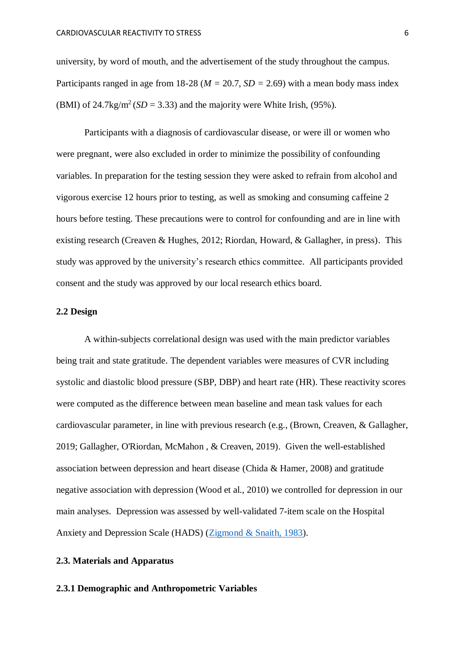university, by word of mouth, and the advertisement of the study throughout the campus. Participants ranged in age from 18-28 ( $M = 20.7$ ,  $SD = 2.69$ ) with a mean body mass index (BMI) of  $24.7 \text{kg/m}^2$  (*SD* = 3.33) and the majority were White Irish, (95%).

Participants with a diagnosis of cardiovascular disease, or were ill or women who were pregnant, were also excluded in order to minimize the possibility of confounding variables. In preparation for the testing session they were asked to refrain from alcohol and vigorous exercise 12 hours prior to testing, as well as smoking and consuming caffeine 2 hours before testing. These precautions were to control for confounding and are in line with existing research (Creaven & Hughes, 2012; Riordan, Howard, & Gallagher, in press). This study was approved by the university's research ethics committee. All participants provided consent and the study was approved by our local research ethics board.

# **2.2 Design**

A within-subjects correlational design was used with the main predictor variables being trait and state gratitude. The dependent variables were measures of CVR including systolic and diastolic blood pressure (SBP, DBP) and heart rate (HR). These reactivity scores were computed as the difference between mean baseline and mean task values for each cardiovascular parameter, in line with previous research (e.g., (Brown, Creaven, & Gallagher, 2019; Gallagher, O'Riordan, McMahon , & Creaven, 2019). Given the well-established association between depression and heart disease (Chida & Hamer, 2008) and gratitude negative association with depression (Wood et al., 2010) we controlled for depression in our main analyses. Depression was assessed by well-validated 7-item scale on the Hospital Anxiety and Depression Scale (HADS) (Zigmond & Snaith, 1983).

### **2.3. Materials and Apparatus**

# **2.3.1 Demographic and Anthropometric Variables**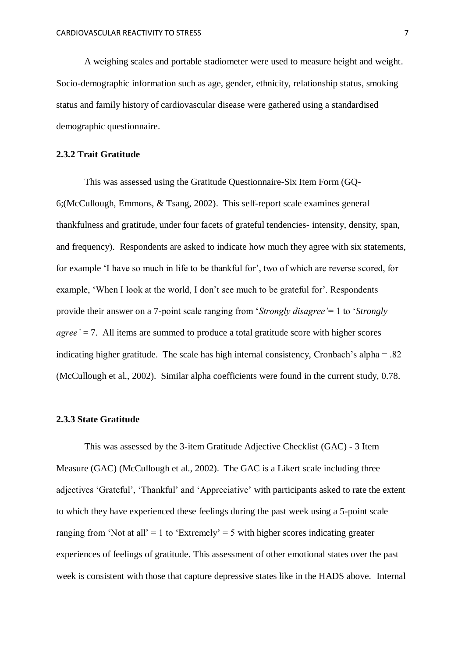A weighing scales and portable stadiometer were used to measure height and weight. Socio-demographic information such as age, gender, ethnicity, relationship status, smoking status and family history of cardiovascular disease were gathered using a standardised demographic questionnaire.

# **2.3.2 Trait Gratitude**

This was assessed using the Gratitude Questionnaire-Six Item Form (GQ-6;(McCullough, Emmons, & Tsang, 2002). This self-report scale examines general thankfulness and gratitude, under four facets of grateful tendencies- intensity, density, span, and frequency). Respondents are asked to indicate how much they agree with six statements, for example 'I have so much in life to be thankful for', two of which are reverse scored, for example, 'When I look at the world, I don't see much to be grateful for'. Respondents provide their answer on a 7-point scale ranging from '*Strongly disagree'*= 1 to '*Strongly agree'* = 7. All items are summed to produce a total gratitude score with higher scores indicating higher gratitude. The scale has high internal consistency, Cronbach's alpha = .82 (McCullough et al., 2002). Similar alpha coefficients were found in the current study, 0.78.

### **2.3.3 State Gratitude**

This was assessed by the 3-item Gratitude Adjective Checklist (GAC) - 3 Item Measure (GAC) (McCullough et al., 2002). The GAC is a Likert scale including three adjectives 'Grateful', 'Thankful' and 'Appreciative' with participants asked to rate the extent to which they have experienced these feelings during the past week using a 5-point scale ranging from 'Not at all' = 1 to 'Extremely' = 5 with higher scores indicating greater experiences of feelings of gratitude. This assessment of other emotional states over the past week is consistent with those that capture depressive states like in the HADS above. Internal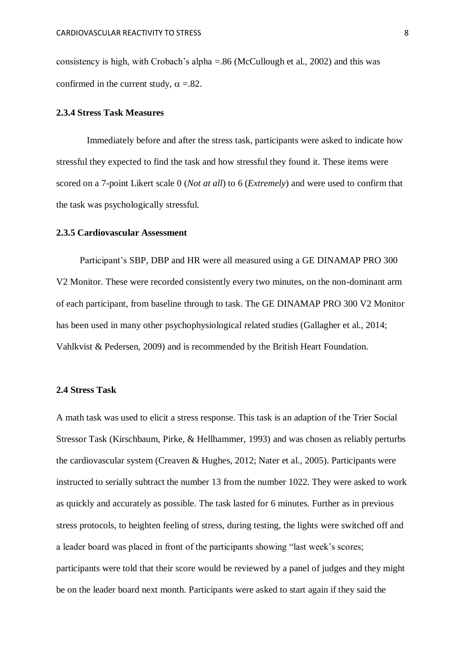consistency is high, with Crobach's alpha =.86 (McCullough et al., 2002) and this was confirmed in the current study,  $\alpha = .82$ .

### **2.3.4 Stress Task Measures**

Immediately before and after the stress task, participants were asked to indicate how stressful they expected to find the task and how stressful they found it. These items were scored on a 7-point Likert scale 0 (*Not at all*) to 6 (*Extremely*) and were used to confirm that the task was psychologically stressful.

### **2.3.5 Cardiovascular Assessment**

 Participant's SBP, DBP and HR were all measured using a GE DINAMAP PRO 300 V2 Monitor. These were recorded consistently every two minutes, on the non-dominant arm of each participant, from baseline through to task. The GE DINAMAP PRO 300 V2 Monitor has been used in many other psychophysiological related studies (Gallagher et al., 2014; Vahlkvist & Pedersen, 2009) and is recommended by the British Heart Foundation.

# **2.4 Stress Task**

A math task was used to elicit a stress response. This task is an adaption of the Trier Social Stressor Task (Kirschbaum, Pirke, & Hellhammer, 1993) and was chosen as reliably perturbs the cardiovascular system (Creaven & Hughes, 2012; Nater et al., 2005). Participants were instructed to serially subtract the number 13 from the number 1022. They were asked to work as quickly and accurately as possible. The task lasted for 6 minutes. Further as in previous stress protocols, to heighten feeling of stress, during testing, the lights were switched off and a leader board was placed in front of the participants showing "last week's scores; participants were told that their score would be reviewed by a panel of judges and they might be on the leader board next month. Participants were asked to start again if they said the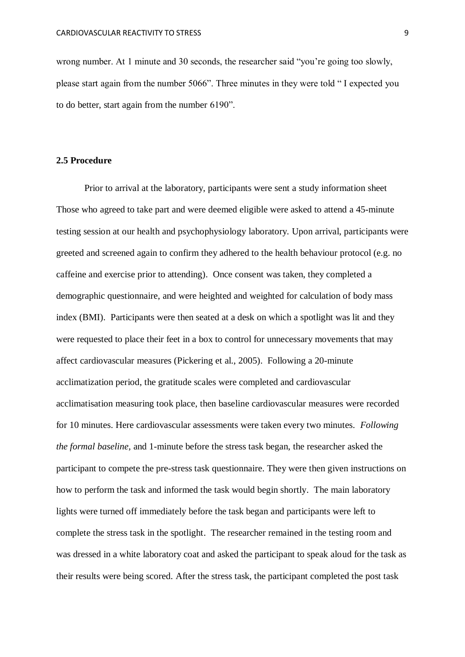wrong number. At 1 minute and 30 seconds, the researcher said "you're going too slowly, please start again from the number 5066". Three minutes in they were told " I expected you to do better, start again from the number 6190".

# **2.5 Procedure**

Prior to arrival at the laboratory, participants were sent a study information sheet Those who agreed to take part and were deemed eligible were asked to attend a 45-minute testing session at our health and psychophysiology laboratory. Upon arrival, participants were greeted and screened again to confirm they adhered to the health behaviour protocol (e.g. no caffeine and exercise prior to attending). Once consent was taken, they completed a demographic questionnaire, and were heighted and weighted for calculation of body mass index (BMI). Participants were then seated at a desk on which a spotlight was lit and they were requested to place their feet in a box to control for unnecessary movements that may affect cardiovascular measures (Pickering et al., 2005). Following a 20-minute acclimatization period, the gratitude scales were completed and cardiovascular acclimatisation measuring took place, then baseline cardiovascular measures were recorded for 10 minutes. Here cardiovascular assessments were taken every two minutes. *Following the formal baseline,* and 1-minute before the stress task began, the researcher asked the participant to compete the pre-stress task questionnaire. They were then given instructions on how to perform the task and informed the task would begin shortly. The main laboratory lights were turned off immediately before the task began and participants were left to complete the stress task in the spotlight. The researcher remained in the testing room and was dressed in a white laboratory coat and asked the participant to speak aloud for the task as their results were being scored. After the stress task, the participant completed the post task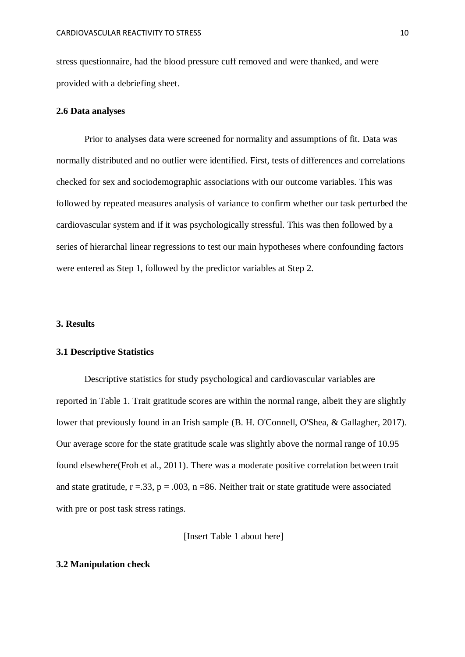stress questionnaire, had the blood pressure cuff removed and were thanked, and were provided with a debriefing sheet.

# **2.6 Data analyses**

Prior to analyses data were screened for normality and assumptions of fit. Data was normally distributed and no outlier were identified. First, tests of differences and correlations checked for sex and sociodemographic associations with our outcome variables. This was followed by repeated measures analysis of variance to confirm whether our task perturbed the cardiovascular system and if it was psychologically stressful. This was then followed by a series of hierarchal linear regressions to test our main hypotheses where confounding factors were entered as Step 1, followed by the predictor variables at Step 2.

### **3. Results**

### **3.1 Descriptive Statistics**

Descriptive statistics for study psychological and cardiovascular variables are reported in Table 1. Trait gratitude scores are within the normal range, albeit they are slightly lower that previously found in an Irish sample (B. H. O'Connell, O'Shea, & Gallagher, 2017). Our average score for the state gratitude scale was slightly above the normal range of 10.95 found elsewhere(Froh et al., 2011). There was a moderate positive correlation between trait and state gratitude,  $r = .33$ ,  $p = .003$ ,  $n = 86$ . Neither trait or state gratitude were associated with pre or post task stress ratings.

[Insert Table 1 about here]

### **3.2 Manipulation check**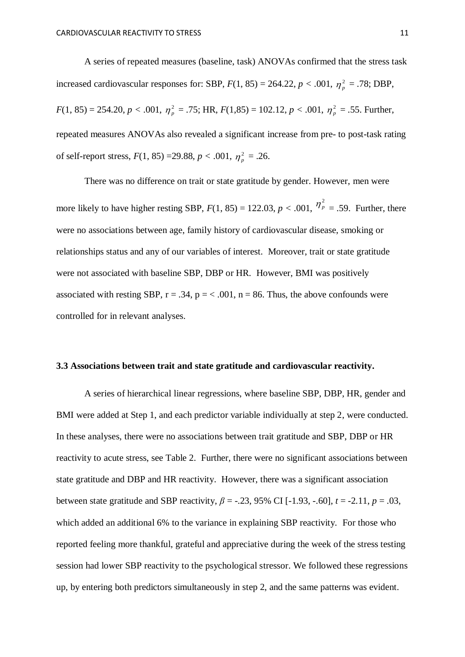A series of repeated measures (baseline, task) ANOVAs confirmed that the stress task increased cardiovascular responses for: SBP,  $F(1, 85) = 264.22$ ,  $p < .001$ ,  $\eta_p^2 = .78$ ; DBP,  $F(1, 85) = 254.20, p < .001, \eta_p^2 = .75$ ; HR,  $F(1,85) = 102.12, p < .001, \eta_p^2 = .55$ . Further, repeated measures ANOVAs also revealed a significant increase from pre- to post-task rating of self-report stress,  $F(1, 85) = 29.88$ ,  $p < .001$ ,  $\eta_p^2 = .26$ .

 There was no difference on trait or state gratitude by gender. However, men were more likely to have higher resting SBP,  $F(1, 85) = 122.03$ ,  $p < .001$ ,  $\frac{\eta_p^2}{r} = .59$ . Further, there were no associations between age, family history of cardiovascular disease, smoking or relationships status and any of our variables of interest. Moreover, trait or state gratitude were not associated with baseline SBP, DBP or HR. However, BMI was positively associated with resting SBP,  $r = .34$ ,  $p = < .001$ ,  $n = 86$ . Thus, the above confounds were controlled for in relevant analyses.

### **3.3 Associations between trait and state gratitude and cardiovascular reactivity.**

A series of hierarchical linear regressions, where baseline SBP, DBP, HR, gender and BMI were added at Step 1, and each predictor variable individually at step 2, were conducted. In these analyses, there were no associations between trait gratitude and SBP, DBP or HR reactivity to acute stress, see Table 2. Further, there were no significant associations between state gratitude and DBP and HR reactivity. However, there was a significant association between state gratitude and SBP reactivity,  $\beta = -0.23, 95\%$  CI [-1.93, -.60],  $t = -2.11$ ,  $p = 0.03$ , which added an additional 6% to the variance in explaining SBP reactivity. For those who reported feeling more thankful, grateful and appreciative during the week of the stress testing session had lower SBP reactivity to the psychological stressor. We followed these regressions up, by entering both predictors simultaneously in step 2, and the same patterns was evident.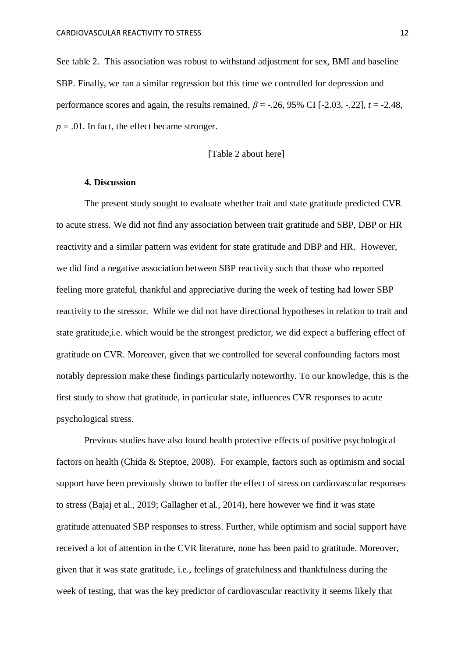See table 2. This association was robust to withstand adjustment for sex, BMI and baseline SBP. Finally, we ran a similar regression but this time we controlled for depression and performance scores and again, the results remained,  $\beta = -0.26$ ,  $95\%$  CI [-2.03,  $-0.22$ ],  $t = -2.48$ ,  $p = .01$ . In fact, the effect became stronger.

#### [Table 2 about here]

# **4. Discussion**

The present study sought to evaluate whether trait and state gratitude predicted CVR to acute stress. We did not find any association between trait gratitude and SBP, DBP or HR reactivity and a similar pattern was evident for state gratitude and DBP and HR. However, we did find a negative association between SBP reactivity such that those who reported feeling more grateful, thankful and appreciative during the week of testing had lower SBP reactivity to the stressor. While we did not have directional hypotheses in relation to trait and state gratitude,i.e. which would be the strongest predictor, we did expect a buffering effect of gratitude on CVR. Moreover, given that we controlled for several confounding factors most notably depression make these findings particularly noteworthy. To our knowledge, this is the first study to show that gratitude, in particular state, influences CVR responses to acute psychological stress.

Previous studies have also found health protective effects of positive psychological factors on health (Chida & Steptoe, 2008). For example, factors such as optimism and social support have been previously shown to buffer the effect of stress on cardiovascular responses to stress (Bajaj et al., 2019; Gallagher et al., 2014), here however we find it was state gratitude attenuated SBP responses to stress. Further, while optimism and social support have received a lot of attention in the CVR literature, none has been paid to gratitude. Moreover, given that it was state gratitude, i.e., feelings of gratefulness and thankfulness during the week of testing, that was the key predictor of cardiovascular reactivity it seems likely that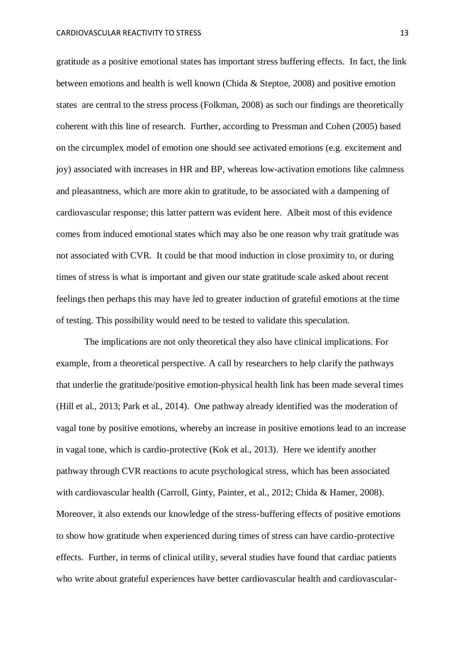gratitude as a positive emotional states has important stress buffering effects. In fact, the link between emotions and health is well known (Chida & Steptoe, 2008) and positive emotion states are central to the stress process (Folkman, 2008) as such our findings are theoretically coherent with this line of research. Further, according to Pressman and Cohen (2005) based on the circumplex model of emotion one should see activated emotions (e.g. excitement and joy) associated with increases in HR and BP, whereas low-activation emotions like calmness and pleasantness, which are more akin to gratitude, to be associated with a dampening of cardiovascular response; this latter pattern was evident here. Albeit most of this evidence comes from induced emotional states which may also be one reason why trait gratitude was not associated with CVR. It could be that mood induction in close proximity to, or during times of stress is what is important and given our state gratitude scale asked about recent feelings then perhaps this may have led to greater induction of grateful emotions at the time of testing. This possibility would need to be tested to validate this speculation.

The implications are not only theoretical they also have clinical implications. For example, from a theoretical perspective. A call by researchers to help clarify the pathways that underlie the gratitude/positive emotion-physical health link has been made several times (Hill et al., 2013; Park et al., 2014). One pathway already identified was the moderation of vagal tone by positive emotions, whereby an increase in positive emotions lead to an increase in vagal tone, which is cardio-protective (Kok et al., 2013). Here we identify another pathway through CVR reactions to acute psychological stress, which has been associated with cardiovascular health (Carroll, Ginty, Painter, et al., 2012; Chida & Hamer, 2008). Moreover, it also extends our knowledge of the stress-buffering effects of positive emotions to show how gratitude when experienced during times of stress can have cardio-protective effects. Further, in terms of clinical utility, several studies have found that cardiac patients who write about grateful experiences have better cardiovascular health and cardiovascular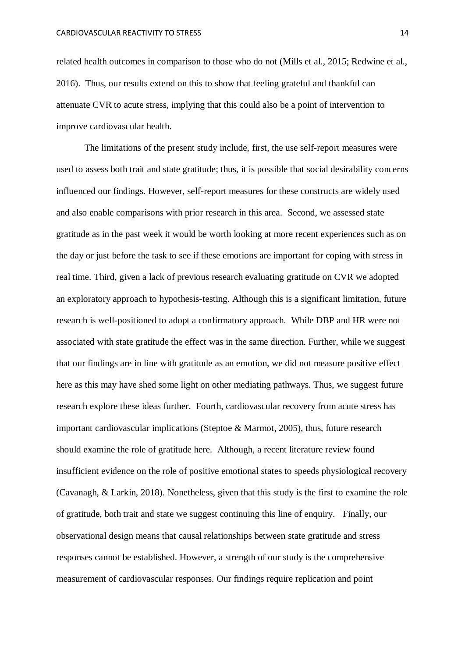related health outcomes in comparison to those who do not (Mills et al., 2015; Redwine et al., 2016). Thus, our results extend on this to show that feeling grateful and thankful can attenuate CVR to acute stress, implying that this could also be a point of intervention to improve cardiovascular health.

The limitations of the present study include, first, the use self-report measures were used to assess both trait and state gratitude; thus, it is possible that social desirability concerns influenced our findings. However, self-report measures for these constructs are widely used and also enable comparisons with prior research in this area. Second, we assessed state gratitude as in the past week it would be worth looking at more recent experiences such as on the day or just before the task to see if these emotions are important for coping with stress in real time. Third, given a lack of previous research evaluating gratitude on CVR we adopted an exploratory approach to hypothesis-testing. Although this is a significant limitation, future research is well-positioned to adopt a confirmatory approach. While DBP and HR were not associated with state gratitude the effect was in the same direction. Further, while we suggest that our findings are in line with gratitude as an emotion, we did not measure positive effect here as this may have shed some light on other mediating pathways. Thus, we suggest future research explore these ideas further. Fourth, cardiovascular recovery from acute stress has important cardiovascular implications (Steptoe & Marmot, 2005), thus, future research should examine the role of gratitude here. Although, a recent literature review found insufficient evidence on the role of positive emotional states to speeds physiological recovery (Cavanagh, & Larkin, 2018). Nonetheless, given that this study is the first to examine the role of gratitude, both trait and state we suggest continuing this line of enquiry. Finally, our observational design means that causal relationships between state gratitude and stress responses cannot be established. However, a strength of our study is the comprehensive measurement of cardiovascular responses. Our findings require replication and point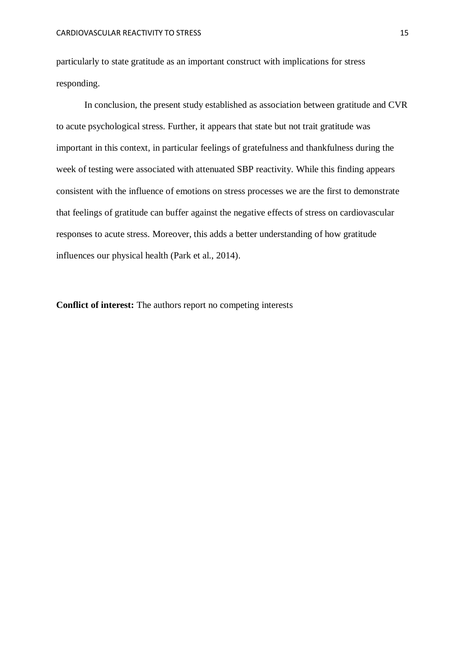particularly to state gratitude as an important construct with implications for stress responding.

In conclusion, the present study established as association between gratitude and CVR to acute psychological stress. Further, it appears that state but not trait gratitude was important in this context, in particular feelings of gratefulness and thankfulness during the week of testing were associated with attenuated SBP reactivity. While this finding appears consistent with the influence of emotions on stress processes we are the first to demonstrate that feelings of gratitude can buffer against the negative effects of stress on cardiovascular responses to acute stress. Moreover, this adds a better understanding of how gratitude influences our physical health (Park et al., 2014).

**Conflict of interest:** The authors report no competing interests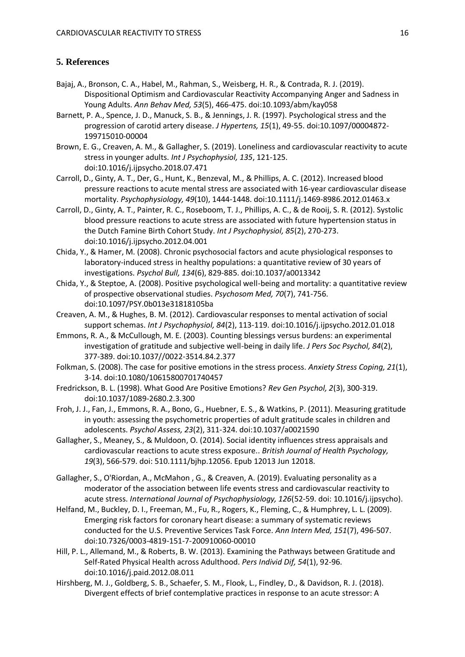# **5. References**

- Bajaj, A., Bronson, C. A., Habel, M., Rahman, S., Weisberg, H. R., & Contrada, R. J. (2019). Dispositional Optimism and Cardiovascular Reactivity Accompanying Anger and Sadness in Young Adults. *Ann Behav Med, 53*(5), 466-475. doi:10.1093/abm/kay058
- Barnett, P. A., Spence, J. D., Manuck, S. B., & Jennings, J. R. (1997). Psychological stress and the progression of carotid artery disease. *J Hypertens, 15*(1), 49-55. doi:10.1097/00004872- 199715010-00004
- Brown, E. G., Creaven, A. M., & Gallagher, S. (2019). Loneliness and cardiovascular reactivity to acute stress in younger adults. *Int J Psychophysiol, 135*, 121-125. doi:10.1016/j.ijpsycho.2018.07.471
- Carroll, D., Ginty, A. T., Der, G., Hunt, K., Benzeval, M., & Phillips, A. C. (2012). Increased blood pressure reactions to acute mental stress are associated with 16-year cardiovascular disease mortality. *Psychophysiology, 49*(10), 1444-1448. doi:10.1111/j.1469-8986.2012.01463.x
- Carroll, D., Ginty, A. T., Painter, R. C., Roseboom, T. J., Phillips, A. C., & de Rooij, S. R. (2012). Systolic blood pressure reactions to acute stress are associated with future hypertension status in the Dutch Famine Birth Cohort Study. *Int J Psychophysiol, 85*(2), 270-273. doi:10.1016/j.ijpsycho.2012.04.001
- Chida, Y., & Hamer, M. (2008). Chronic psychosocial factors and acute physiological responses to laboratory-induced stress in healthy populations: a quantitative review of 30 years of investigations. *Psychol Bull, 134*(6), 829-885. doi:10.1037/a0013342
- Chida, Y., & Steptoe, A. (2008). Positive psychological well-being and mortality: a quantitative review of prospective observational studies. *Psychosom Med, 70*(7), 741-756. doi:10.1097/PSY.0b013e31818105ba
- Creaven, A. M., & Hughes, B. M. (2012). Cardiovascular responses to mental activation of social support schemas. *Int J Psychophysiol, 84*(2), 113-119. doi:10.1016/j.ijpsycho.2012.01.018
- Emmons, R. A., & McCullough, M. E. (2003). Counting blessings versus burdens: an experimental investigation of gratitude and subjective well-being in daily life. *J Pers Soc Psychol, 84*(2), 377-389. doi:10.1037//0022-3514.84.2.377
- Folkman, S. (2008). The case for positive emotions in the stress process. *Anxiety Stress Coping, 21*(1), 3-14. doi:10.1080/10615800701740457
- Fredrickson, B. L. (1998). What Good Are Positive Emotions? *Rev Gen Psychol, 2*(3), 300-319. doi:10.1037/1089-2680.2.3.300
- Froh, J. J., Fan, J., Emmons, R. A., Bono, G., Huebner, E. S., & Watkins, P. (2011). Measuring gratitude in youth: assessing the psychometric properties of adult gratitude scales in children and adolescents. *Psychol Assess, 23*(2), 311-324. doi:10.1037/a0021590
- Gallagher, S., Meaney, S., & Muldoon, O. (2014). Social identity influences stress appraisals and cardiovascular reactions to acute stress exposure.. *British Journal of Health Psychology, 19*(3), 566-579. doi: 510.1111/bjhp.12056. Epub 12013 Jun 12018.
- Gallagher, S., O'Riordan, A., McMahon , G., & Creaven, A. (2019). Evaluating personality as a moderator of the association between life events stress and cardiovascular reactivity to acute stress. *International Journal of Psychophysiology, 126*(52-59. doi: 10.1016/j.ijpsycho).
- Helfand, M., Buckley, D. I., Freeman, M., Fu, R., Rogers, K., Fleming, C., & Humphrey, L. L. (2009). Emerging risk factors for coronary heart disease: a summary of systematic reviews conducted for the U.S. Preventive Services Task Force. *Ann Intern Med, 151*(7), 496-507. doi:10.7326/0003-4819-151-7-200910060-00010
- Hill, P. L., Allemand, M., & Roberts, B. W. (2013). Examining the Pathways between Gratitude and Self-Rated Physical Health across Adulthood. *Pers Individ Dif, 54*(1), 92-96. doi:10.1016/j.paid.2012.08.011
- Hirshberg, M. J., Goldberg, S. B., Schaefer, S. M., Flook, L., Findley, D., & Davidson, R. J. (2018). Divergent effects of brief contemplative practices in response to an acute stressor: A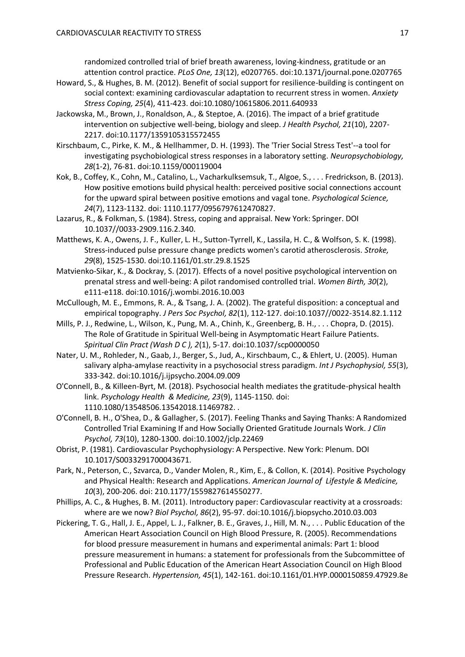randomized controlled trial of brief breath awareness, loving-kindness, gratitude or an attention control practice. *PLoS One, 13*(12), e0207765. doi:10.1371/journal.pone.0207765

- Howard, S., & Hughes, B. M. (2012). Benefit of social support for resilience-building is contingent on social context: examining cardiovascular adaptation to recurrent stress in women. *Anxiety Stress Coping, 25*(4), 411-423. doi:10.1080/10615806.2011.640933
- Jackowska, M., Brown, J., Ronaldson, A., & Steptoe, A. (2016). The impact of a brief gratitude intervention on subjective well-being, biology and sleep. *J Health Psychol, 21*(10), 2207- 2217. doi:10.1177/1359105315572455
- Kirschbaum, C., Pirke, K. M., & Hellhammer, D. H. (1993). The 'Trier Social Stress Test'--a tool for investigating psychobiological stress responses in a laboratory setting. *Neuropsychobiology, 28*(1-2), 76-81. doi:10.1159/000119004
- Kok, B., Coffey, K., Cohn, M., Catalino, L., Vacharkulksemsuk, T., Algoe, S., . . . Fredrickson, B. (2013). How positive emotions build physical health: perceived positive social connections account for the upward spiral between positive emotions and vagal tone. *Psychological Science, 24*(7), 1123-1132. doi: 1110.1177/0956797612470827.
- Lazarus, R., & Folkman, S. (1984). Stress, coping and appraisal. New York: Springer. DOI 10.1037//0033-2909.116.2.340.
- Matthews, K. A., Owens, J. F., Kuller, L. H., Sutton-Tyrrell, K., Lassila, H. C., & Wolfson, S. K. (1998). Stress-induced pulse pressure change predicts women's carotid atherosclerosis. *Stroke, 29*(8), 1525-1530. doi:10.1161/01.str.29.8.1525
- Matvienko-Sikar, K., & Dockray, S. (2017). Effects of a novel positive psychological intervention on prenatal stress and well-being: A pilot randomised controlled trial. *Women Birth, 30*(2), e111-e118. doi:10.1016/j.wombi.2016.10.003
- McCullough, M. E., Emmons, R. A., & Tsang, J. A. (2002). The grateful disposition: a conceptual and empirical topography. *J Pers Soc Psychol, 82*(1), 112-127. doi:10.1037//0022-3514.82.1.112
- Mills, P. J., Redwine, L., Wilson, K., Pung, M. A., Chinh, K., Greenberg, B. H., . . . Chopra, D. (2015). The Role of Gratitude in Spiritual Well-being in Asymptomatic Heart Failure Patients. *Spiritual Clin Pract (Wash D C ), 2*(1), 5-17. doi:10.1037/scp0000050
- Nater, U. M., Rohleder, N., Gaab, J., Berger, S., Jud, A., Kirschbaum, C., & Ehlert, U. (2005). Human salivary alpha-amylase reactivity in a psychosocial stress paradigm. *Int J Psychophysiol, 55*(3), 333-342. doi:10.1016/j.ijpsycho.2004.09.009
- O'Connell, B., & Killeen-Byrt, M. (2018). Psychosocial health mediates the gratitude-physical health link. *Psychology Health & Medicine, 23*(9), 1145-1150. doi: 1110.1080/13548506.13542018.11469782. .
- O'Connell, B. H., O'Shea, D., & Gallagher, S. (2017). Feeling Thanks and Saying Thanks: A Randomized Controlled Trial Examining If and How Socially Oriented Gratitude Journals Work. *J Clin Psychol, 73*(10), 1280-1300. doi:10.1002/jclp.22469
- Obrist, P. (1981). Cardiovascular Psychophysiology: A Perspective. New York: Plenum. DOI 10.1017/S0033291700043671.
- Park, N., Peterson, C., Szvarca, D., Vander Molen, R., Kim, E., & Collon, K. (2014). Positive Psychology and Physical Health: Research and Applications. *American Journal of Lifestyle & Medicine, 10*(3), 200-206. doi: 210.1177/1559827614550277.
- Phillips, A. C., & Hughes, B. M. (2011). Introductory paper: Cardiovascular reactivity at a crossroads: where are we now? *Biol Psychol, 86*(2), 95-97. doi:10.1016/j.biopsycho.2010.03.003
- Pickering, T. G., Hall, J. E., Appel, L. J., Falkner, B. E., Graves, J., Hill, M. N., . . . Public Education of the American Heart Association Council on High Blood Pressure, R. (2005). Recommendations for blood pressure measurement in humans and experimental animals: Part 1: blood pressure measurement in humans: a statement for professionals from the Subcommittee of Professional and Public Education of the American Heart Association Council on High Blood Pressure Research. *Hypertension, 45*(1), 142-161. doi:10.1161/01.HYP.0000150859.47929.8e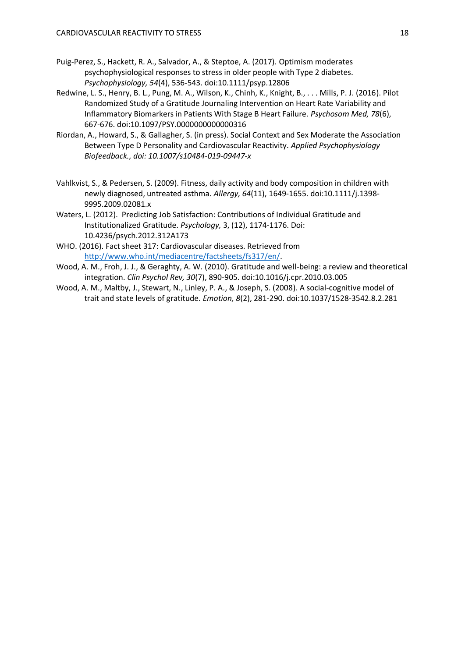- Puig-Perez, S., Hackett, R. A., Salvador, A., & Steptoe, A. (2017). Optimism moderates psychophysiological responses to stress in older people with Type 2 diabetes. *Psychophysiology, 54*(4), 536-543. doi:10.1111/psyp.12806
- Redwine, L. S., Henry, B. L., Pung, M. A., Wilson, K., Chinh, K., Knight, B., . . . Mills, P. J. (2016). Pilot Randomized Study of a Gratitude Journaling Intervention on Heart Rate Variability and Inflammatory Biomarkers in Patients With Stage B Heart Failure. *Psychosom Med, 78*(6), 667-676. doi:10.1097/PSY.0000000000000316
- Riordan, A., Howard, S., & Gallagher, S. (in press). Social Context and Sex Moderate the Association Between Type D Personality and Cardiovascular Reactivity. *Applied Psychophysiology Biofeedback., doi: 10.1007/s10484-019-09447-x*
- Vahlkvist, S., & Pedersen, S. (2009). Fitness, daily activity and body composition in children with newly diagnosed, untreated asthma. *Allergy, 64*(11), 1649-1655. doi:10.1111/j.1398- 9995.2009.02081.x
- Waters, L. (2012). Predicting Job Satisfaction: Contributions of Individual Gratitude and Institutionalized Gratitude. *Psychology,* 3, (12), 1174-1176. Doi: 10.4236/psych.2012.312A173
- WHO. (2016). Fact sheet 317: Cardiovascular diseases. Retrieved from [http://www.who.int/mediacentre/factsheets/fs317/en/.](http://www.who.int/mediacentre/factsheets/fs317/en/)
- Wood, A. M., Froh, J. J., & Geraghty, A. W. (2010). Gratitude and well-being: a review and theoretical integration. *Clin Psychol Rev, 30*(7), 890-905. doi:10.1016/j.cpr.2010.03.005
- Wood, A. M., Maltby, J., Stewart, N., Linley, P. A., & Joseph, S. (2008). A social-cognitive model of trait and state levels of gratitude. *Emotion, 8*(2), 281-290. doi:10.1037/1528-3542.8.2.281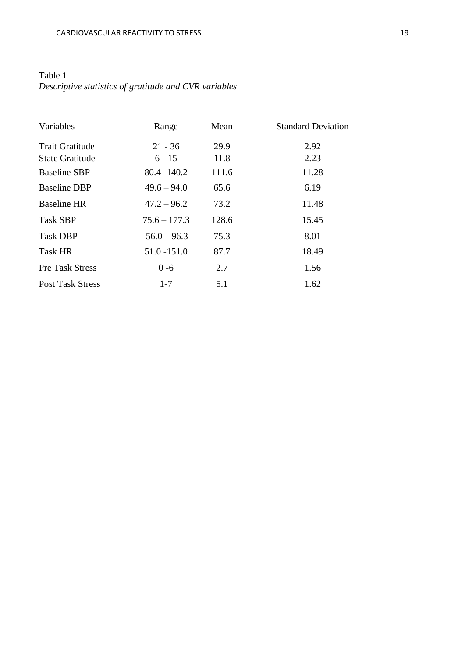| Variables               | Range          | Mean  | <b>Standard Deviation</b> |  |
|-------------------------|----------------|-------|---------------------------|--|
| <b>Trait Gratitude</b>  | $21 - 36$      | 29.9  | 2.92                      |  |
| <b>State Gratitude</b>  | $6 - 15$       | 11.8  | 2.23                      |  |
| <b>Baseline SBP</b>     | $80.4 - 140.2$ | 111.6 | 11.28                     |  |
| <b>Baseline DBP</b>     | $49.6 - 94.0$  | 65.6  | 6.19                      |  |
| <b>Baseline HR</b>      | $47.2 - 96.2$  | 73.2  | 11.48                     |  |
| <b>Task SBP</b>         | $75.6 - 177.3$ | 128.6 | 15.45                     |  |
| <b>Task DBP</b>         | $56.0 - 96.3$  | 75.3  | 8.01                      |  |
| <b>Task HR</b>          | $51.0 - 151.0$ | 87.7  | 18.49                     |  |
| <b>Pre Task Stress</b>  | $0 - 6$        | 2.7   | 1.56                      |  |
| <b>Post Task Stress</b> | $1 - 7$        | 5.1   | 1.62                      |  |

Table 1 *Descriptive statistics of gratitude and CVR variables*